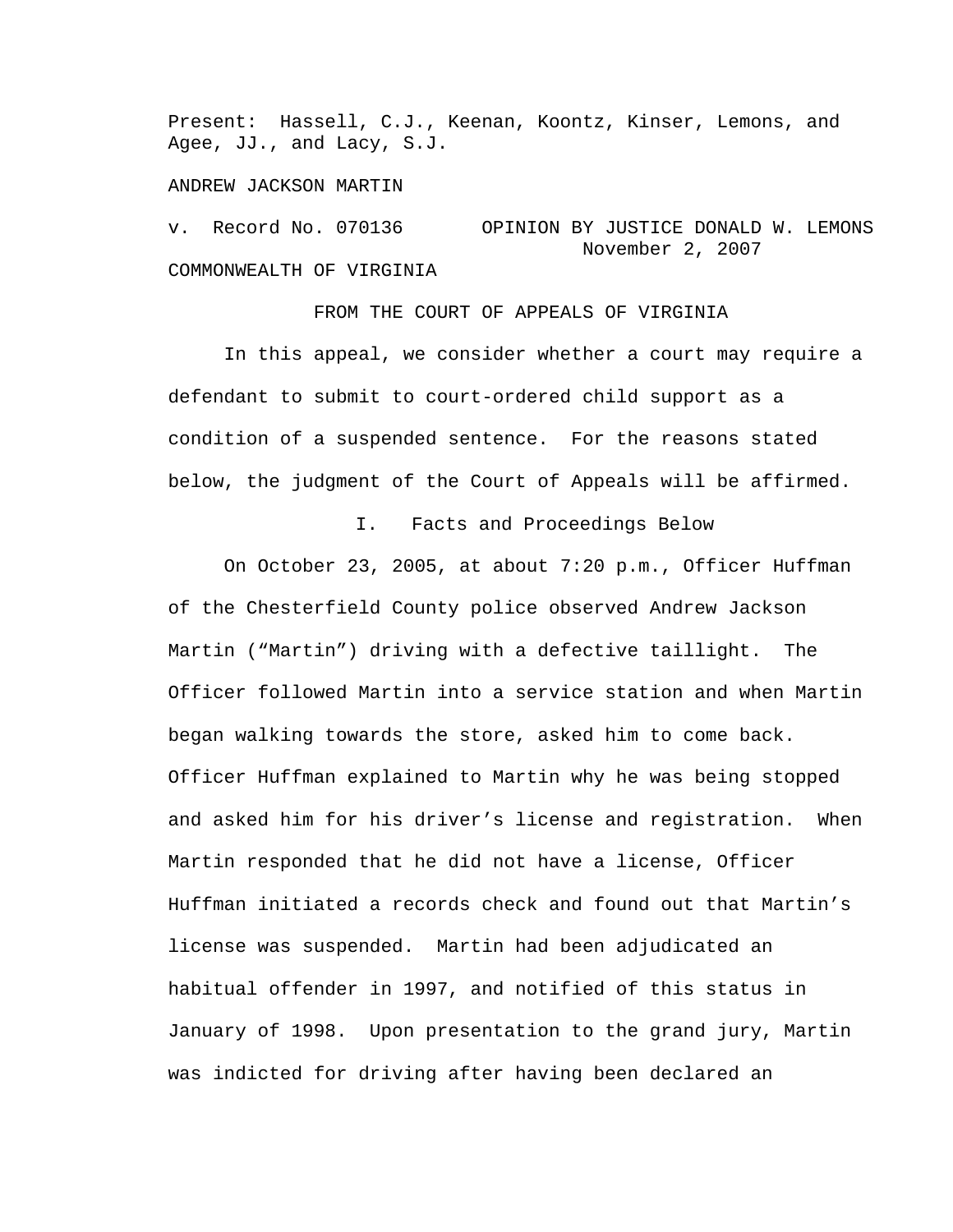Present: Hassell, C.J., Keenan, Koontz, Kinser, Lemons, and Agee, JJ., and Lacy, S.J.

## ANDREW JACKSON MARTIN

v. Record No. 070136 OPINION BY JUSTICE DONALD W. LEMONS November 2, 2007 COMMONWEALTH OF VIRGINIA

FROM THE COURT OF APPEALS OF VIRGINIA

 In this appeal, we consider whether a court may require a defendant to submit to court-ordered child support as a condition of a suspended sentence. For the reasons stated below, the judgment of the Court of Appeals will be affirmed.

I. Facts and Proceedings Below

On October 23, 2005, at about 7:20 p.m., Officer Huffman of the Chesterfield County police observed Andrew Jackson Martin ("Martin") driving with a defective taillight. The Officer followed Martin into a service station and when Martin began walking towards the store, asked him to come back. Officer Huffman explained to Martin why he was being stopped and asked him for his driver's license and registration. When Martin responded that he did not have a license, Officer Huffman initiated a records check and found out that Martin's license was suspended. Martin had been adjudicated an habitual offender in 1997, and notified of this status in January of 1998. Upon presentation to the grand jury, Martin was indicted for driving after having been declared an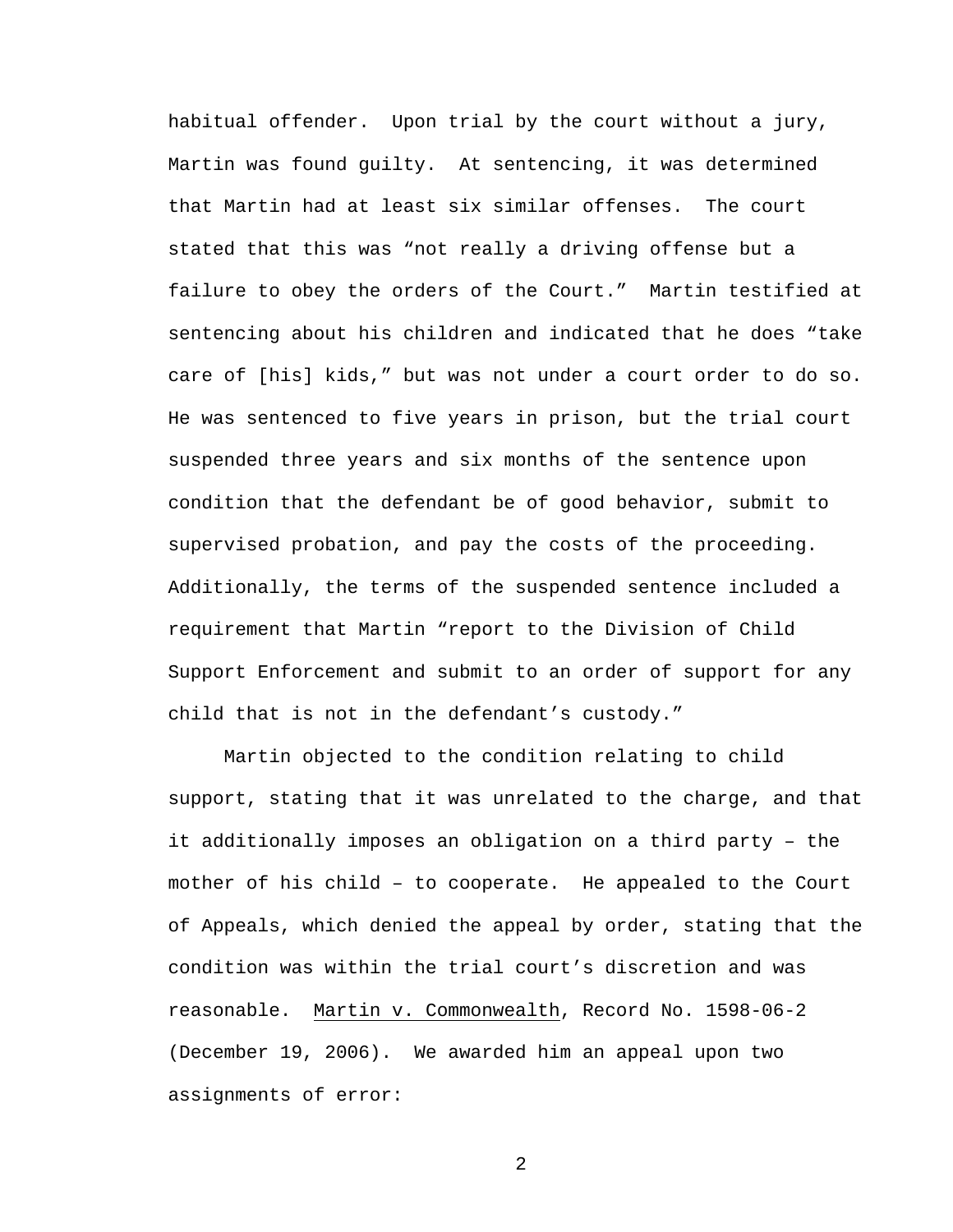habitual offender. Upon trial by the court without a jury, Martin was found guilty. At sentencing, it was determined that Martin had at least six similar offenses. The court stated that this was "not really a driving offense but a failure to obey the orders of the Court." Martin testified at sentencing about his children and indicated that he does "take care of [his] kids," but was not under a court order to do so. He was sentenced to five years in prison, but the trial court suspended three years and six months of the sentence upon condition that the defendant be of good behavior, submit to supervised probation, and pay the costs of the proceeding. Additionally, the terms of the suspended sentence included a requirement that Martin "report to the Division of Child Support Enforcement and submit to an order of support for any child that is not in the defendant's custody."

 Martin objected to the condition relating to child support, stating that it was unrelated to the charge, and that it additionally imposes an obligation on a third party – the mother of his child – to cooperate. He appealed to the Court of Appeals, which denied the appeal by order, stating that the condition was within the trial court's discretion and was reasonable. Martin v. Commonwealth, Record No. 1598-06-2 (December 19, 2006). We awarded him an appeal upon two assignments of error:

2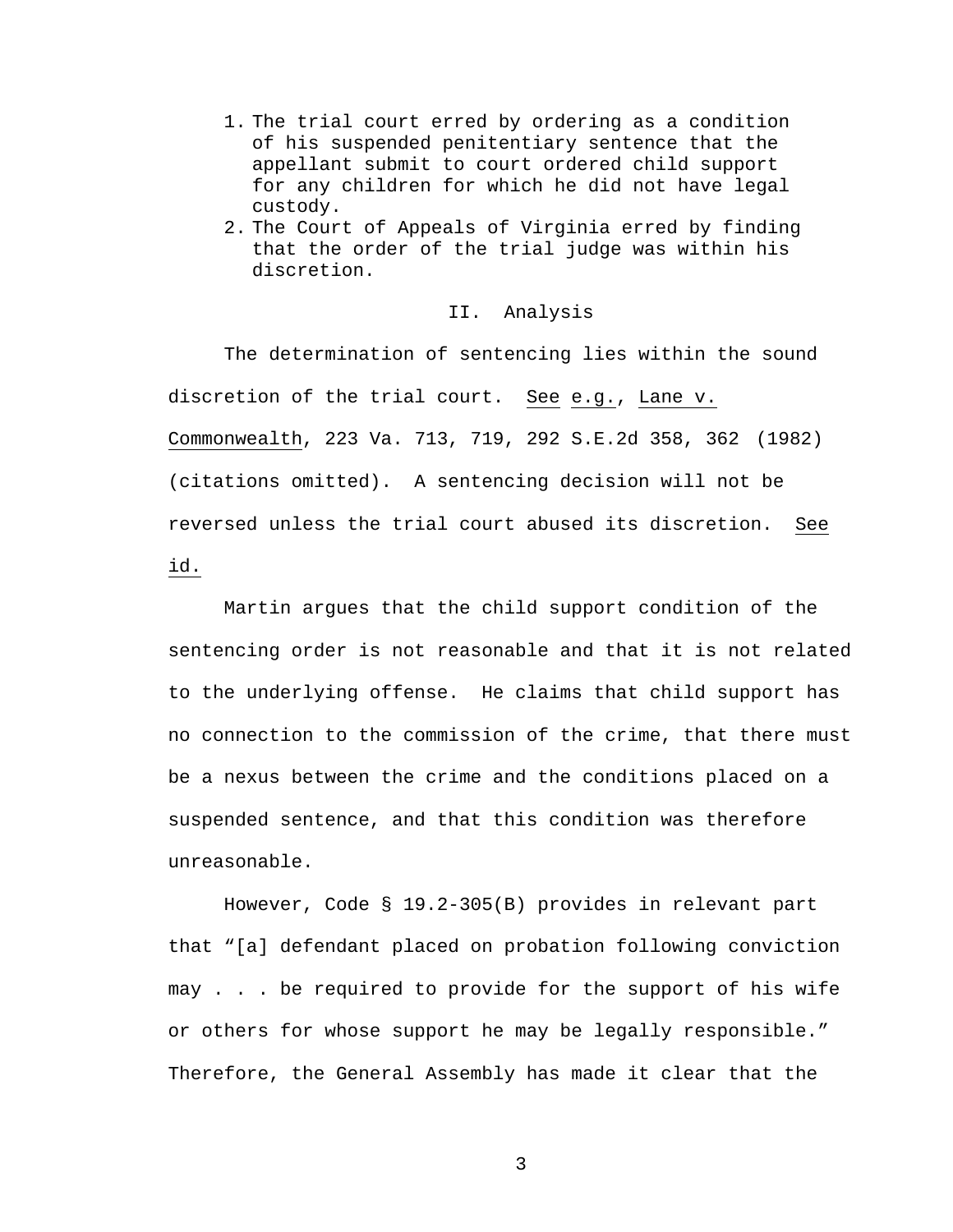- 1. The trial court erred by ordering as a condition of his suspended penitentiary sentence that the appellant submit to court ordered child support for any children for which he did not have legal custody.
- 2. The Court of Appeals of Virginia erred by finding that the order of the trial judge was within his discretion.

## II. Analysis

The determination of sentencing lies within the sound discretion of the trial court. See e.g., Lane v. Commonwealth, 223 Va. 713, 719, 292 S.E.2d 358, 362 (1982) (citations omitted). A sentencing decision will not be reversed unless the trial court abused its discretion. See id.

Martin argues that the child support condition of the sentencing order is not reasonable and that it is not related to the underlying offense. He claims that child support has no connection to the commission of the crime, that there must be a nexus between the crime and the conditions placed on a suspended sentence, and that this condition was therefore unreasonable.

However, Code § 19.2-305(B) provides in relevant part that "[a] defendant placed on probation following conviction may . . . be required to provide for the support of his wife or others for whose support he may be legally responsible." Therefore, the General Assembly has made it clear that the

3